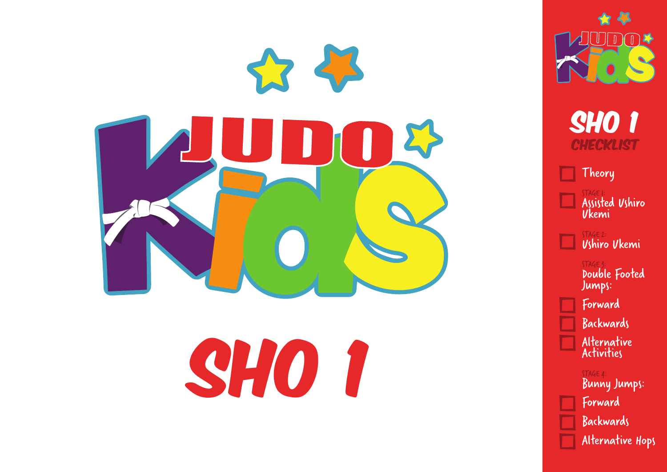



Theory

STAGE 1: Assisted Ushiro Ukemi

STAGE 2: Ushiro Ukemi

STAGE 3: Double Footed Jumps: Forward Backwards

Alternative Activities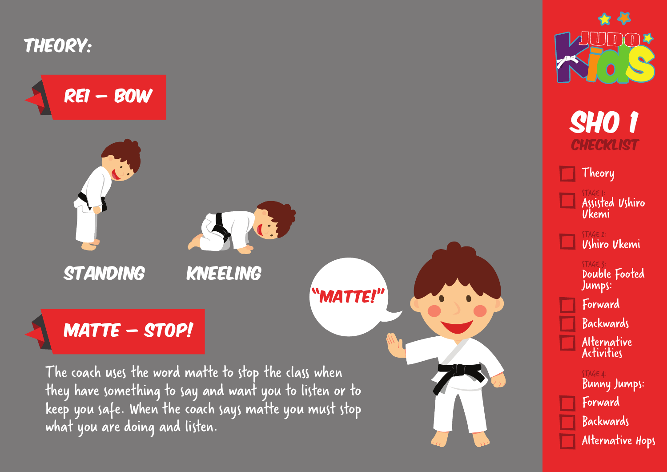

Rei – Bow

what you are doing and listen.





**SHO 1 CHECKLIST** 

Theory

STAGE 1: Assisted Ushiro Ukemi

STAGE 2: Ushiro Ukemi

STAGE 3: Double Footed Jumps: Forward **Backwards** Alternative **Activities**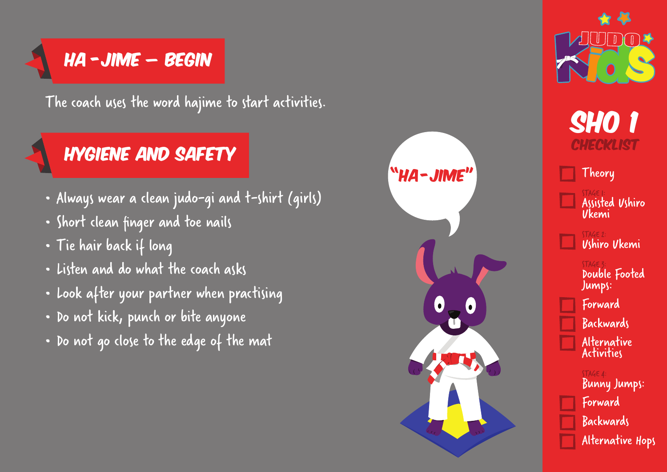## $HA -JIME - BEGIN$

The coach uses the word hajime to start activities.

## Hygiene and Safety

- Always wear a clean judo-gi and t-shirt (girls)
- Short clean finger and toe nails
- Tie hair back if long
- Listen and do what the coach asks
- Look after your partner when practising
- Do not kick, punch or bite anyone
- Do not go close to the edge of the mat





**SHO 1** CHECKLIST

Theory

STAGE 1: Assisted Ushiro Ukemi

STAGE 2: Ushiro Ukemi

STAGE 3: Double Footed Jumps: Forward **Backwards** Alternative **Activities**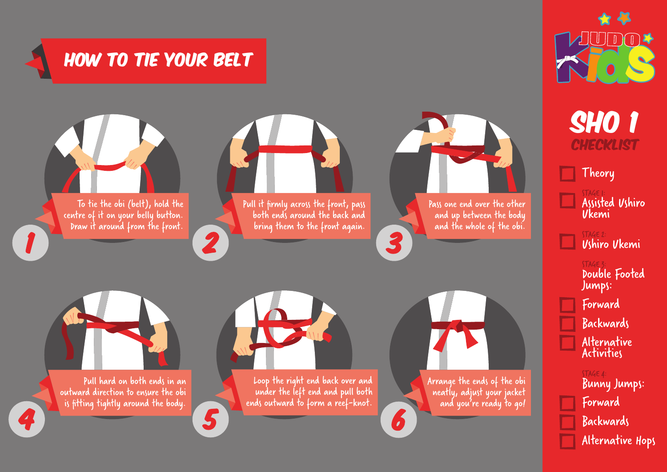# How to Tie Your Belt



STAGE 2:

STAGE 3:

Jumps:

Forward

STAGE 4:

Forward

**Backwards** 

**Backwards** 

Alternative Activities

Bunny Jumps:

Alternative Hops

Theory

STAGE 1:

Ukemi

Ushiro Ukemi

Assisted Ushiro

Double Footed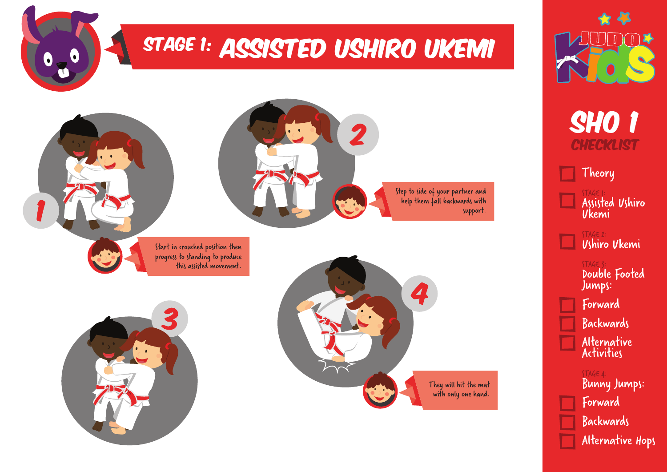# STAGE 1: ASSISTED USHIRO UKEMI





 $\lceil \bullet \rceil$ 

Start in crouched position then progress to standing to produce this assisted movement.







**SHO 1 CHECKLIST** 

 $\left|\mathsf{Theory}\right|$ 

STAGE 1: Assisted Ushiro Ukemi

STAGE 2: Ushiro Ukemi

STAGE 3: Double Footed Jumps: Forward Backwards Alternative Activities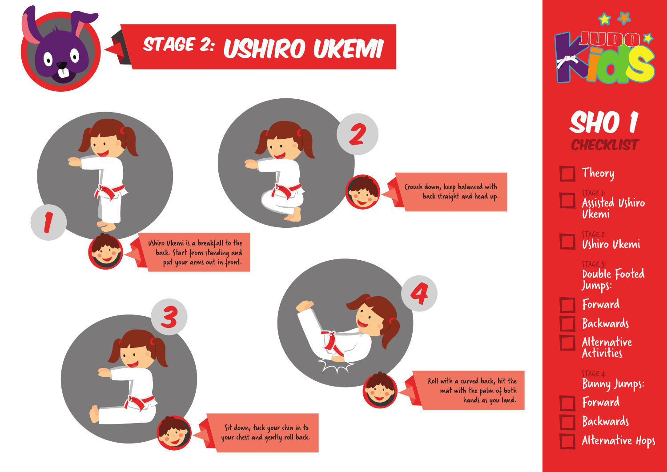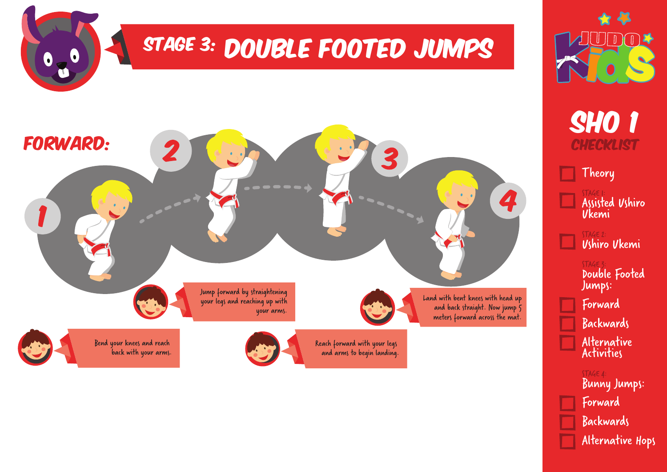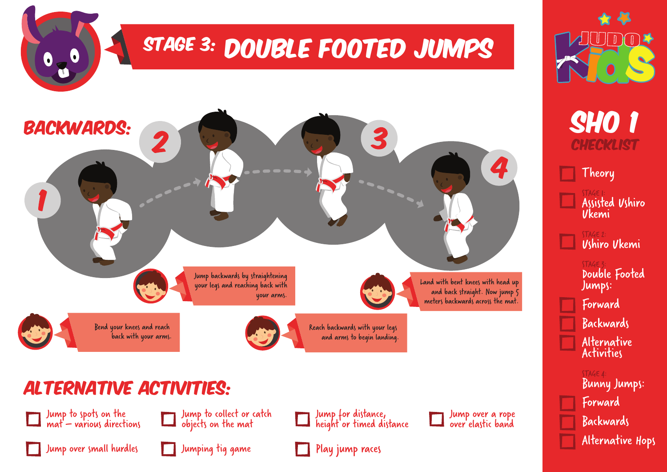

#### Alternative Activities:















Bunny Jumps: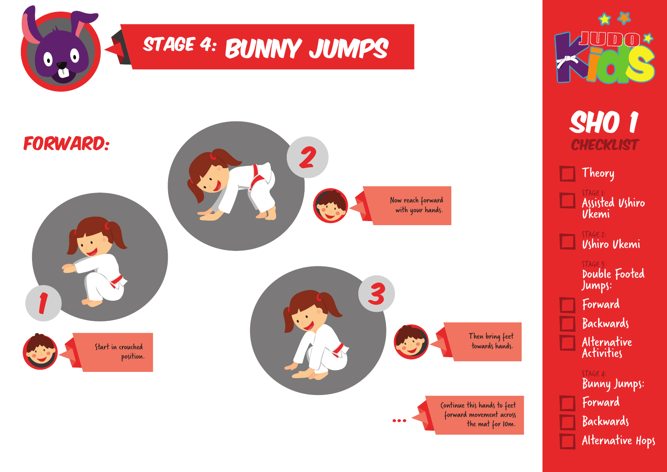